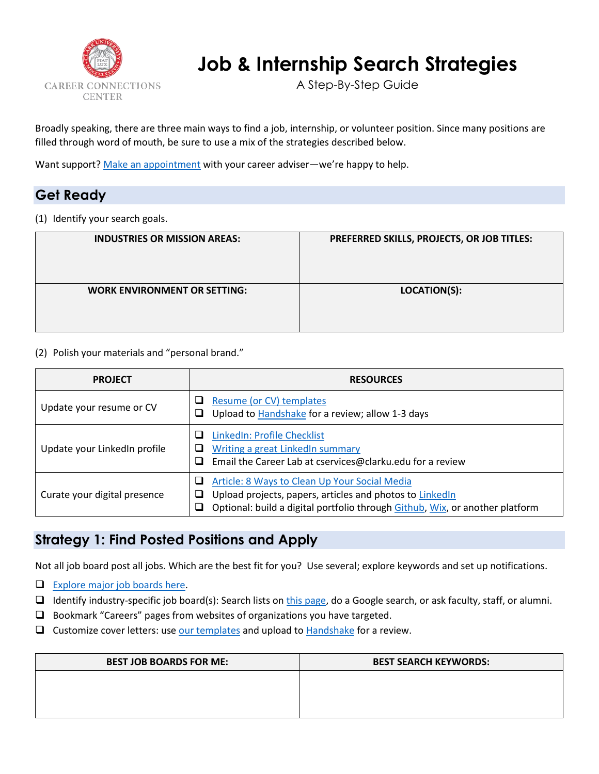

# **Job & Internship Search Strategies**

A Step-By-Step Guide

Broadly speaking, there are three main ways to find a job, internship, or volunteer position. Since many positions are filled through word of mouth, be sure to use a mix of the strategies described below.

Want support? [Make an appointment](https://www.clarku.edu/offices/career-connections-center/about-us/meet-the-team/) with your career adviser—we're happy to help.

#### **Get Ready**

(1) Identify your search goals.

| <b>INDUSTRIES OR MISSION AREAS:</b> | PREFERRED SKILLS, PROJECTS, OR JOB TITLES: |
|-------------------------------------|--------------------------------------------|
|                                     |                                            |
| <b>WORK ENVIRONMENT OR SETTING:</b> | LOCATION(S):                               |

#### (2) Polish your materials and "personal brand."

| <b>PROJECT</b>               | <b>RESOURCES</b>                                                                                                                                                                                         |
|------------------------------|----------------------------------------------------------------------------------------------------------------------------------------------------------------------------------------------------------|
| Update your resume or CV     | Resume (or CV) templates<br>⊔<br>Upload to Handshake for a review; allow 1-3 days<br>⊔                                                                                                                   |
| Update your LinkedIn profile | LinkedIn: Profile Checklist<br>⊔<br><b>Writing a great LinkedIn summary</b><br>⊔<br>Email the Career Lab at cservices@clarku.edu for a review<br>ப                                                       |
| Curate your digital presence | Article: 8 Ways to Clean Up Your Social Media<br>⊔<br>Upload projects, papers, articles and photos to LinkedIn<br>⊔<br>Optional: build a digital portfolio through Github, Wix, or another platform<br>⊔ |

#### **Strategy 1: Find Posted Positions and Apply**

Not all job board post all jobs. Which are the best fit for you? Use several; explore keywords and set up notifications.

- $\Box$  [Explore major job boards here.](https://www.clarku.edu/offices/career-connections-center/get-ready/find-jobs-and-internships/)
- I Identify industry-specific job board(s): Search lists o[n this page,](https://www.clarku.edu/offices/career-connections-center/get-ready/find-jobs-and-internships/) do a Google search, or ask faculty, staff, or alumni.
- $\Box$  Bookmark "Careers" pages from websites of organizations you have targeted.
- $\Box$  Customize cover letters: us[e our templates](https://www.clarku.edu/offices/career-connections-center/get-ready/how-to-guides/) and upload to [Handshake](https://clarku.joinhandshake.com/) for a review.

| <b>BEST JOB BOARDS FOR ME:</b> | <b>BEST SEARCH KEYWORDS:</b> |  |
|--------------------------------|------------------------------|--|
|                                |                              |  |
|                                |                              |  |
|                                |                              |  |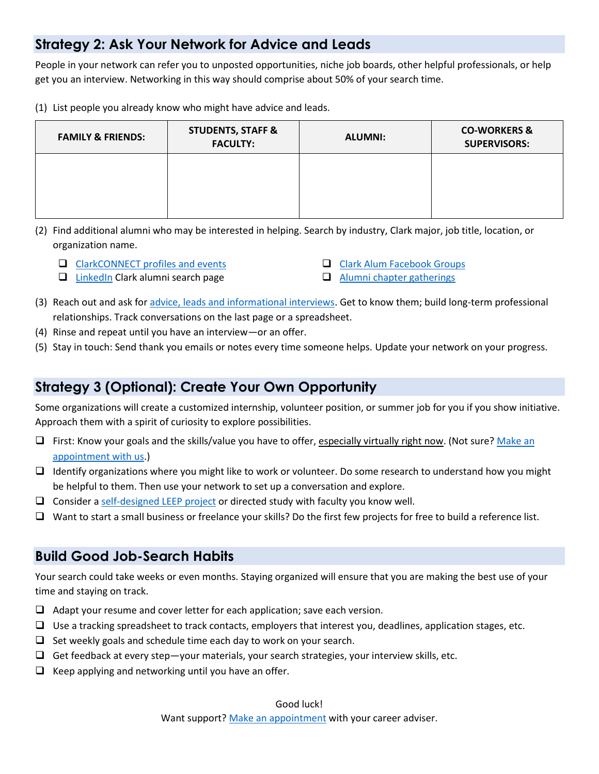#### **Strategy 2: Ask Your Network for Advice and Leads**

People in your network can refer you to unposted opportunities, niche job boards, other helpful professionals, or help get you an interview. Networking in this way should comprise about 50% of your search time.

(1) List people you already know who might have advice and leads.

| <b>FAMILY &amp; FRIENDS:</b> | <b>STUDENTS, STAFF &amp;</b><br><b>FACULTY:</b> | <b>ALUMNI:</b> | <b>CO-WORKERS &amp;</b><br><b>SUPERVISORS:</b> |
|------------------------------|-------------------------------------------------|----------------|------------------------------------------------|
|                              |                                                 |                |                                                |
|                              |                                                 |                |                                                |

- (2) Find additional alumni who may be interested in helping. Search by industry, Clark major, job title, location, or organization name.
	- $\Box$  [ClarkCONNECT](https://clarkconnect.clarku.edu/hub/clark-connect/home) profiles and events

**Q** [Clark Alum Facebook Groups](https://www.facebook.com/search/str/clark+university+alumni/keywords_groups)

 $\Box$  [LinkedIn](https://www.linkedin.com/school/clark-university/alumni/) Clark alumni search page

- **[Alumni chapter gatherings](https://www.clarku.edu/alumni-and-friends/)**
- (3) Reach out and ask for [advice, leads and informational interviews.](https://www.clarku.edu/offices/career-connections-center/get-ready/build-your-network/) Get to know them; build long-term professional relationships. Track conversations on the last page or a spreadsheet.
- (4) Rinse and repeat until you have an interview—or an offer.
- (5) Stay in touch: Send thank you emails or notes every time someone helps. Update your network on your progress.

#### **Strategy 3 (Optional): Create Your Own Opportunity**

Some organizations will create a customized internship, volunteer position, or summer job for you if you show initiative. Approach them with a spirit of curiosity to explore possibilities.

- $\Box$  First: Know your goals and the skills/value you have to offer, especially virtually right now. (Not sure? Make an [appointment with us.](https://www.clarku.edu/offices/career-connections-center/about-us/meet-the-team/))
- $\Box$  Identify organizations where you might like to work or volunteer. Do some research to understand how you might be helpful to them. Then use your network to set up a conversation and explore.
- $\Box$  Consider [a self-designed LEEP project](https://www.clarku.edu/offices/career-connections-center/gain-experience/opportunity-funding/) or directed study with faculty you know well.
- $\Box$  Want to start a small business or freelance your skills? Do the first few projects for free to build a reference list.

### **Build Good Job-Search Habits**

Your search could take weeks or even months. Staying organized will ensure that you are making the best use of your time and staying on track.

- $\Box$  Adapt your resume and cover letter for each application; save each version.
- $\Box$  Use a tracking spreadsheet to track contacts, employers that interest you, deadlines, application stages, etc.
- $\Box$  Set weekly goals and schedule time each day to work on your search.
- $\Box$  Get feedback at every step—your materials, your search strategies, your interview skills, etc.
- $\Box$  Keep applying and networking until you have an offer.

#### Good luck!

Want support? [Make an appointment](https://www.clarku.edu/offices/career-connections-center/about-us/meet-the-team/) with your career adviser.